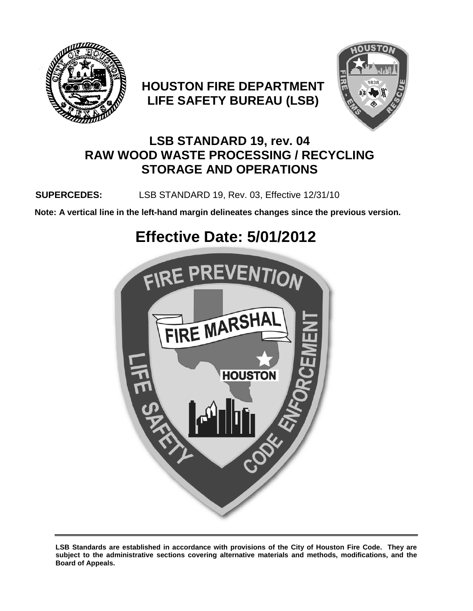

# **HOUSTON FIRE DEPARTMENT LIFE SAFETY BUREAU (LSB)**



# **LSB STANDARD 19, rev. 04 RAW WOOD WASTE PROCESSING / RECYCLING STORAGE AND OPERATIONS**

## **SUPERCEDES:** LSB STANDARD 19, Rev. 03, Effective 12/31/10

**Note: A vertical line in the left-hand margin delineates changes since the previous version.**

# **Effective Date: 5/01/2012**



**LSB Standards are established in accordance with provisions of the City of Houston Fire Code. They are subject to the administrative sections covering alternative materials and methods, modifications, and the Board of Appeals.**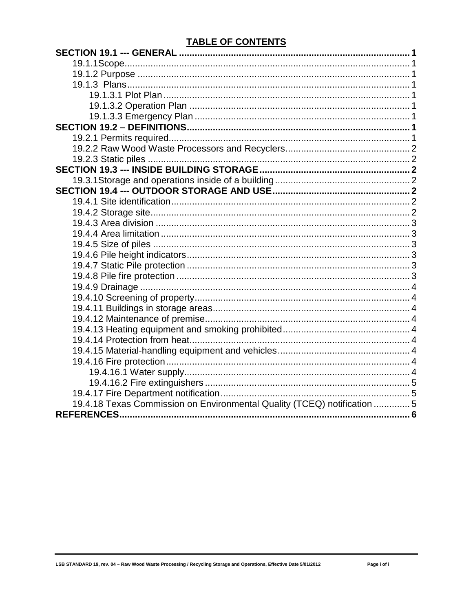## **TABLE OF CONTENTS**

| 19.4.18 Texas Commission on Environmental Quality (TCEQ) notification 5 |  |
|-------------------------------------------------------------------------|--|
|                                                                         |  |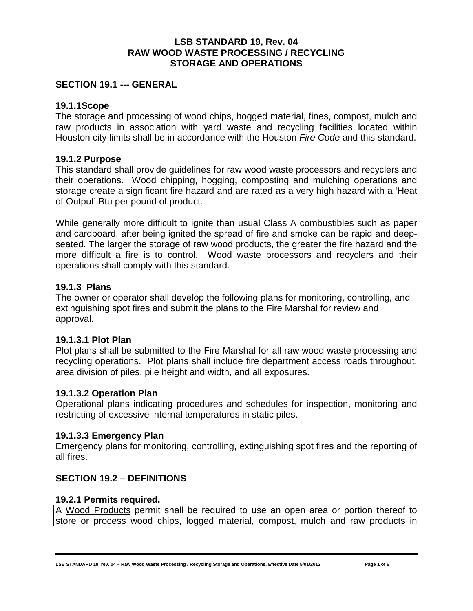#### **LSB STANDARD 19, Rev. 04 RAW WOOD WASTE PROCESSING / RECYCLING STORAGE AND OPERATIONS**

#### <span id="page-2-0"></span>**SECTION 19.1 --- GENERAL**

#### <span id="page-2-1"></span>**19.1.1Scope**

The storage and processing of wood chips, hogged material, fines, compost, mulch and raw products in association with yard waste and recycling facilities located within Houston city limits shall be in accordance with the Houston *Fire Code* and this standard.

#### <span id="page-2-2"></span>**19.1.2 Purpose**

This standard shall provide guidelines for raw wood waste processors and recyclers and their operations. Wood chipping, hogging, composting and mulching operations and storage create a significant fire hazard and are rated as a very high hazard with a 'Heat of Output' Btu per pound of product.

While generally more difficult to ignite than usual Class A combustibles such as paper and cardboard, after being ignited the spread of fire and smoke can be rapid and deepseated. The larger the storage of raw wood products, the greater the fire hazard and the more difficult a fire is to control. Wood waste processors and recyclers and their operations shall comply with this standard.

#### <span id="page-2-3"></span>**19.1.3 Plans**

The owner or operator shall develop the following plans for monitoring, controlling, and extinguishing spot fires and submit the plans to the Fire Marshal for review and approval.

#### <span id="page-2-4"></span>**19.1.3.1 Plot Plan**

Plot plans shall be submitted to the Fire Marshal for all raw wood waste processing and recycling operations. Plot plans shall include fire department access roads throughout, area division of piles, pile height and width, and all exposures.

#### <span id="page-2-5"></span>**19.1.3.2 Operation Plan**

Operational plans indicating procedures and schedules for inspection, monitoring and restricting of excessive internal temperatures in static piles.

#### <span id="page-2-6"></span>**19.1.3.3 Emergency Plan**

Emergency plans for monitoring, controlling, extinguishing spot fires and the reporting of all fires.

#### <span id="page-2-7"></span>**SECTION 19.2 – DEFINITIONS**

#### <span id="page-2-8"></span>**19.2.1 Permits required.**

A Wood Products permit shall be required to use an open area or portion thereof to store or process wood chips, logged material, compost, mulch and raw products in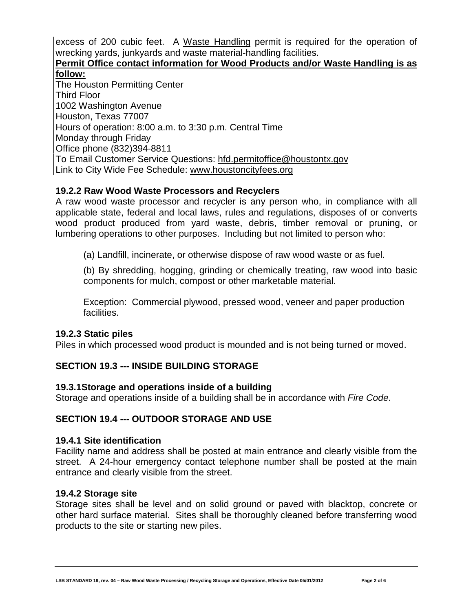excess of 200 cubic feet. A Waste Handling permit is required for the operation of wrecking yards, junkyards and waste material-handling facilities.

#### **Permit Office contact information for Wood Products and/or Waste Handling is as follow:**

The Houston Permitting Center Third Floor 1002 Washington Avenue Houston, Texas 77007 Hours of operation: 8:00 a.m. to 3:30 p.m. Central Time Monday through Friday Office phone (832)394-8811 To Email Customer Service Questions: [hfd.permitoffice@houstontx.gov](mailto:hfd.permitoffice@houstontx.gov) Link to City Wide Fee Schedule: [www.houstoncityfees.org](http://www.houstoncityfees.org/)

#### <span id="page-3-0"></span>**19.2.2 Raw Wood Waste Processors and Recyclers**

A raw wood waste processor and recycler is any person who, in compliance with all applicable state, federal and local laws, rules and regulations, disposes of or converts wood product produced from yard waste, debris, timber removal or pruning, or lumbering operations to other purposes. Including but not limited to person who:

(a) Landfill, incinerate, or otherwise dispose of raw wood waste or as fuel.

(b) By shredding, hogging, grinding or chemically treating, raw wood into basic components for mulch, compost or other marketable material.

Exception: Commercial plywood, pressed wood, veneer and paper production facilities.

#### <span id="page-3-1"></span>**19.2.3 Static piles**

Piles in which processed wood product is mounded and is not being turned or moved.

### <span id="page-3-2"></span>**SECTION 19.3 --- INSIDE BUILDING STORAGE**

#### <span id="page-3-3"></span>**19.3.1Storage and operations inside of a building**

Storage and operations inside of a building shall be in accordance with *Fire Code*.

#### <span id="page-3-4"></span>**SECTION 19.4 --- OUTDOOR STORAGE AND USE**

#### <span id="page-3-5"></span>**19.4.1 Site identification**

Facility name and address shall be posted at main entrance and clearly visible from the street. A 24-hour emergency contact telephone number shall be posted at the main entrance and clearly visible from the street.

#### <span id="page-3-6"></span>**19.4.2 Storage site**

Storage sites shall be level and on solid ground or paved with blacktop, concrete or other hard surface material. Sites shall be thoroughly cleaned before transferring wood products to the site or starting new piles.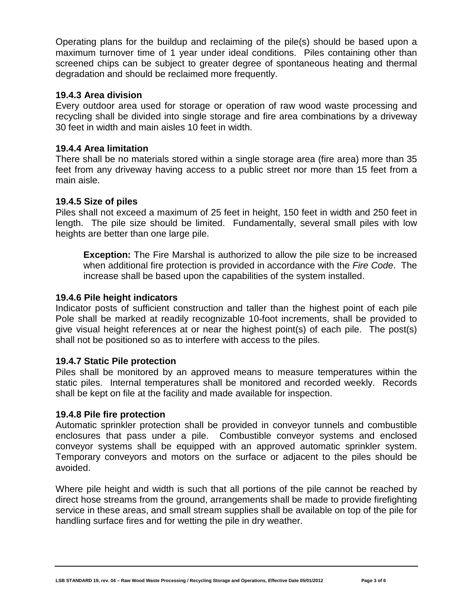Operating plans for the buildup and reclaiming of the pile(s) should be based upon a maximum turnover time of 1 year under ideal conditions. Piles containing other than screened chips can be subject to greater degree of spontaneous heating and thermal degradation and should be reclaimed more frequently.

#### <span id="page-4-0"></span>**19.4.3 Area division**

Every outdoor area used for storage or operation of raw wood waste processing and recycling shall be divided into single storage and fire area combinations by a driveway 30 feet in width and main aisles 10 feet in width.

#### <span id="page-4-1"></span>**19.4.4 Area limitation**

There shall be no materials stored within a single storage area (fire area) more than 35 feet from any driveway having access to a public street nor more than 15 feet from a main aisle.

#### <span id="page-4-2"></span>**19.4.5 Size of piles**

Piles shall not exceed a maximum of 25 feet in height, 150 feet in width and 250 feet in length. The pile size should be limited. Fundamentally, several small piles with low heights are better than one large pile.

**Exception:** The Fire Marshal is authorized to allow the pile size to be increased when additional fire protection is provided in accordance with the *Fire Code*. The increase shall be based upon the capabilities of the system installed.

#### <span id="page-4-3"></span>**19.4.6 Pile height indicators**

Indicator posts of sufficient construction and taller than the highest point of each pile Pole shall be marked at readily recognizable 10-foot increments, shall be provided to give visual height references at or near the highest point(s) of each pile. The post(s) shall not be positioned so as to interfere with access to the piles.

#### <span id="page-4-4"></span>**19.4.7 Static Pile protection**

Piles shall be monitored by an approved means to measure temperatures within the static piles. Internal temperatures shall be monitored and recorded weekly. Records shall be kept on file at the facility and made available for inspection.

#### <span id="page-4-5"></span>**19.4.8 Pile fire protection**

Automatic sprinkler protection shall be provided in conveyor tunnels and combustible enclosures that pass under a pile. Combustible conveyor systems and enclosed conveyor systems shall be equipped with an approved automatic sprinkler system. Temporary conveyors and motors on the surface or adjacent to the piles should be avoided.

Where pile height and width is such that all portions of the pile cannot be reached by direct hose streams from the ground, arrangements shall be made to provide firefighting service in these areas, and small stream supplies shall be available on top of the pile for handling surface fires and for wetting the pile in dry weather.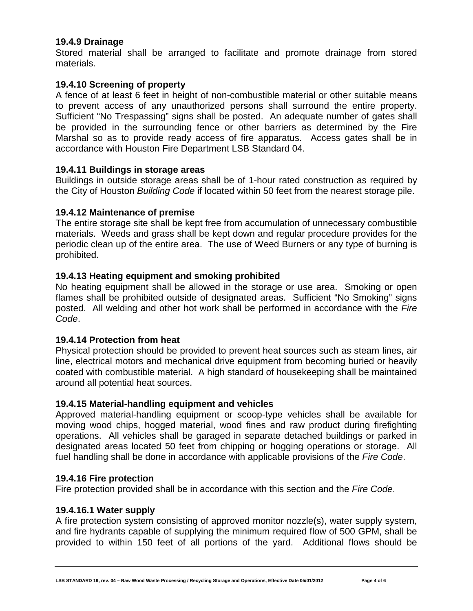#### <span id="page-5-0"></span>**19.4.9 Drainage**

Stored material shall be arranged to facilitate and promote drainage from stored materials.

#### <span id="page-5-1"></span>**19.4.10 Screening of property**

A fence of at least 6 feet in height of non-combustible material or other suitable means to prevent access of any unauthorized persons shall surround the entire property. Sufficient "No Trespassing" signs shall be posted. An adequate number of gates shall be provided in the surrounding fence or other barriers as determined by the Fire Marshal so as to provide ready access of fire apparatus. Access gates shall be in accordance with Houston Fire Department LSB Standard 04.

#### <span id="page-5-2"></span>**19.4.11 Buildings in storage areas**

Buildings in outside storage areas shall be of 1-hour rated construction as required by the City of Houston *Building Code* if located within 50 feet from the nearest storage pile.

#### <span id="page-5-3"></span>**19.4.12 Maintenance of premise**

The entire storage site shall be kept free from accumulation of unnecessary combustible materials. Weeds and grass shall be kept down and regular procedure provides for the periodic clean up of the entire area. The use of Weed Burners or any type of burning is prohibited.

#### <span id="page-5-4"></span>**19.4.13 Heating equipment and smoking prohibited**

No heating equipment shall be allowed in the storage or use area. Smoking or open flames shall be prohibited outside of designated areas. Sufficient "No Smoking" signs posted. All welding and other hot work shall be performed in accordance with the *Fire Code*.

#### <span id="page-5-5"></span>**19.4.14 Protection from heat**

Physical protection should be provided to prevent heat sources such as steam lines, air line, electrical motors and mechanical drive equipment from becoming buried or heavily coated with combustible material. A high standard of housekeeping shall be maintained around all potential heat sources.

#### <span id="page-5-6"></span>**19.4.15 Material-handling equipment and vehicles**

Approved material-handling equipment or scoop-type vehicles shall be available for moving wood chips, hogged material, wood fines and raw product during firefighting operations. All vehicles shall be garaged in separate detached buildings or parked in designated areas located 50 feet from chipping or hogging operations or storage. All fuel handling shall be done in accordance with applicable provisions of the *Fire Code*.

#### <span id="page-5-7"></span>**19.4.16 Fire protection**

Fire protection provided shall be in accordance with this section and the *Fire Code*.

#### <span id="page-5-8"></span>**19.4.16.1 Water supply**

A fire protection system consisting of approved monitor nozzle(s), water supply system, and fire hydrants capable of supplying the minimum required flow of 500 GPM, shall be provided to within 150 feet of all portions of the yard. Additional flows should be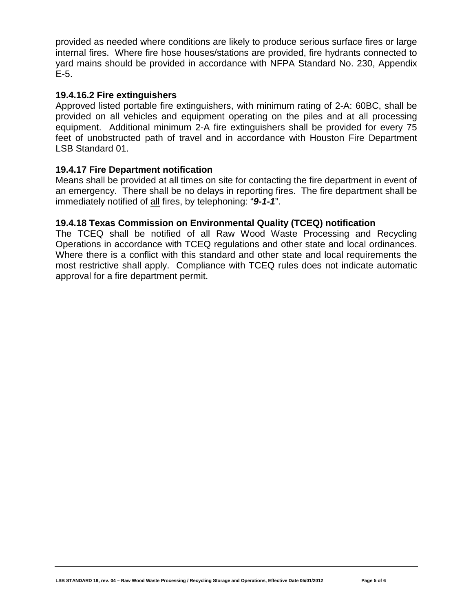provided as needed where conditions are likely to produce serious surface fires or large internal fires. Where fire hose houses/stations are provided, fire hydrants connected to yard mains should be provided in accordance with NFPA Standard No. 230, Appendix E-5.

#### <span id="page-6-0"></span>**19.4.16.2 Fire extinguishers**

Approved listed portable fire extinguishers, with minimum rating of 2-A: 60BC, shall be provided on all vehicles and equipment operating on the piles and at all processing equipment. Additional minimum 2-A fire extinguishers shall be provided for every 75 feet of unobstructed path of travel and in accordance with Houston Fire Department LSB Standard 01.

#### <span id="page-6-1"></span>**19.4.17 Fire Department notification**

Means shall be provided at all times on site for contacting the fire department in event of an emergency. There shall be no delays in reporting fires. The fire department shall be immediately notified of all fires, by telephoning: "*9-1-1*".

#### <span id="page-6-2"></span>**19.4.18 Texas Commission on Environmental Quality (TCEQ) notification**

The TCEQ shall be notified of all Raw Wood Waste Processing and Recycling Operations in accordance with TCEQ regulations and other state and local ordinances. Where there is a conflict with this standard and other state and local requirements the most restrictive shall apply. Compliance with TCEQ rules does not indicate automatic approval for a fire department permit.